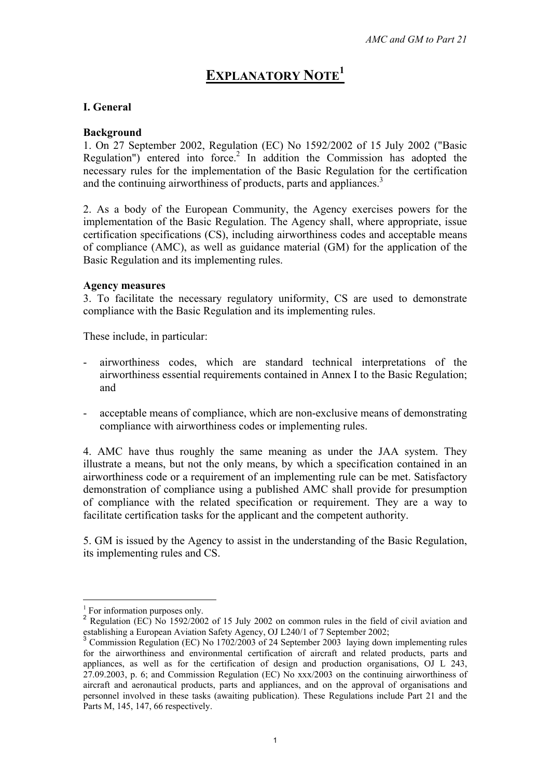# **EXPLANATORY NOTE1**

## **I. General**

#### **Background**

1. On 27 September 2002, Regulation (EC) No 1592/2002 of 15 July 2002 ("Basic Regulation") entered into force.<sup>2</sup> In addition the Commission has adopted the necessary rules for the implementation of the Basic Regulation for the certification and the continuing airworthiness of products, parts and appliances.<sup>3</sup>

2. As a body of the European Community, the Agency exercises powers for the implementation of the Basic Regulation. The Agency shall, where appropriate, issue certification specifications (CS), including airworthiness codes and acceptable means of compliance (AMC), as well as guidance material (GM) for the application of the Basic Regulation and its implementing rules.

#### **Agency measures**

3. To facilitate the necessary regulatory uniformity, CS are used to demonstrate compliance with the Basic Regulation and its implementing rules.

These include, in particular:

- airworthiness codes, which are standard technical interpretations of the airworthiness essential requirements contained in Annex I to the Basic Regulation; and
- acceptable means of compliance, which are non-exclusive means of demonstrating compliance with airworthiness codes or implementing rules.

4. AMC have thus roughly the same meaning as under the JAA system. They illustrate a means, but not the only means, by which a specification contained in an airworthiness code or a requirement of an implementing rule can be met. Satisfactory demonstration of compliance using a published AMC shall provide for presumption of compliance with the related specification or requirement. They are a way to facilitate certification tasks for the applicant and the competent authority.

5. GM is issued by the Agency to assist in the understanding of the Basic Regulation, its implementing rules and CS.

 $\overline{a}$ 

<sup>1</sup> For information purposes only.

<sup>&</sup>lt;sup>2</sup> Regulation (EC) No 1592/2002 of 15 July 2002 on common rules in the field of civil aviation and establishing a European Aviation Safety Agency, OJ L240/1 of 7 September 2002;

<sup>&</sup>lt;sup>3</sup> Commission Regulation (EC) No 1702/2003 of 24 September 2003 laying down implementing rules for the airworthiness and environmental certification of aircraft and related products, parts and appliances, as well as for the certification of design and production organisations, OJ L 243, 27.09.2003, p. 6; and Commission Regulation (EC) No xxx/2003 on the continuing airworthiness of aircraft and aeronautical products, parts and appliances, and on the approval of organisations and personnel involved in these tasks (awaiting publication). These Regulations include Part 21 and the Parts M, 145, 147, 66 respectively.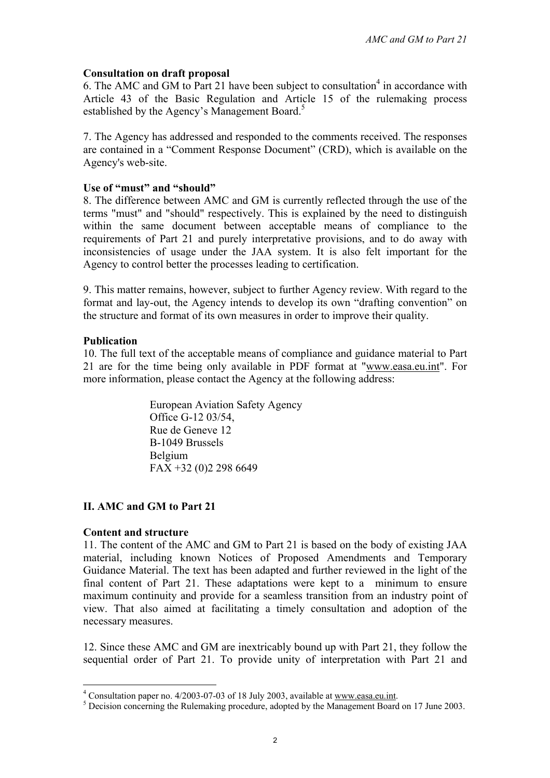## **Consultation on draft proposal**

6. The AMC and GM to Part 21 have been subject to consultation<sup>4</sup> in accordance with Article 43 of the Basic Regulation and Article 15 of the rulemaking process established by the Agency's Management Board.<sup>5</sup>

7. The Agency has addressed and responded to the comments received. The responses are contained in a "Comment Response Document" (CRD), which is available on the Agency's web-site.

#### **Use of "must" and "should"**

8. The difference between AMC and GM is currently reflected through the use of the terms "must" and "should" respectively. This is explained by the need to distinguish within the same document between acceptable means of compliance to the requirements of Part 21 and purely interpretative provisions, and to do away with inconsistencies of usage under the JAA system. It is also felt important for the Agency to control better the processes leading to certification.

9. This matter remains, however, subject to further Agency review. With regard to the format and lay-out, the Agency intends to develop its own "drafting convention" on the structure and format of its own measures in order to improve their quality.

#### **Publication**

10. The full text of the acceptable means of compliance and guidance material to Part 21 are for the time being only available in PDF format at "www.easa.eu.int". For more information, please contact the Agency at the following address:

> European Aviation Safety Agency Office G-12 03/54, Rue de Geneve 12 B-1049 Brussels Belgium FAX +32 (0)2 298 6649

## **II. AMC and GM to Part 21**

## **Content and structure**

11. The content of the AMC and GM to Part 21 is based on the body of existing JAA material, including known Notices of Proposed Amendments and Temporary Guidance Material. The text has been adapted and further reviewed in the light of the final content of Part 21. These adaptations were kept to a minimum to ensure maximum continuity and provide for a seamless transition from an industry point of view. That also aimed at facilitating a timely consultation and adoption of the necessary measures.

12. Since these AMC and GM are inextricably bound up with Part 21, they follow the sequential order of Part 21. To provide unity of interpretation with Part 21 and

 $^{4}$  Consultation paper no. 4/2003-07-03 of 18 July 2003, available at www.easa.eu.int.

<sup>&</sup>lt;sup>5</sup> Decision concerning the Rulemaking procedure, adopted by the Management Board on 17 June 2003.